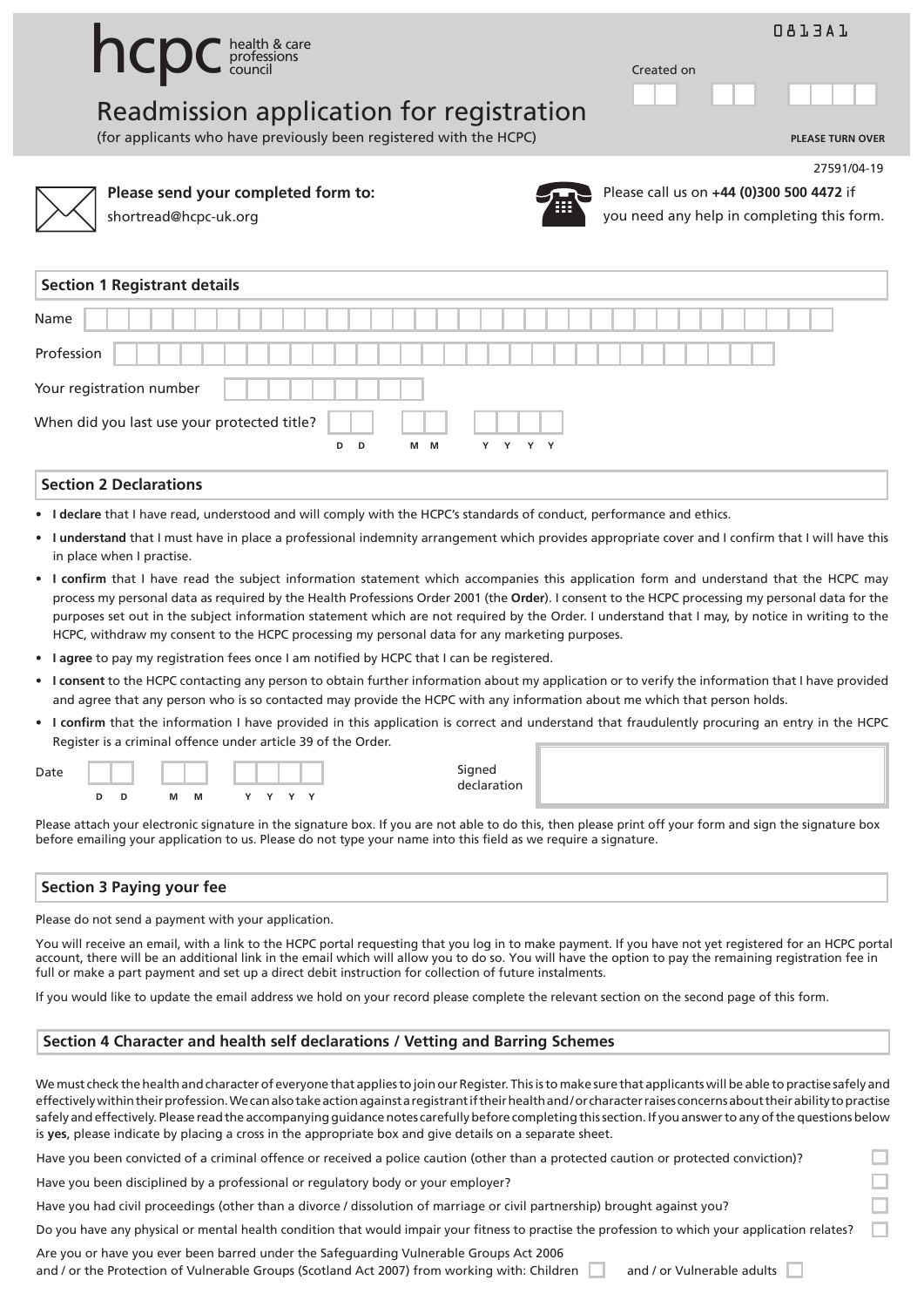|                                          | 0813A1     |
|------------------------------------------|------------|
| <b>INCPC</b> health & care               | Created on |
| Readmission application for registration | .          |

(for applicants who have previously been registered with the HCPC) **PLEASE TURN OVER**



**Please send your completed form to:**



Please call us on **+44 (0)300 500 4472** if you need any help in completing this form.

27591/04-19

| <b>Section 1 Registrant details</b>         |  |  |  |  |                |  |     |  |   |   |   |   |  |  |  |  |  |  |  |  |  |
|---------------------------------------------|--|--|--|--|----------------|--|-----|--|---|---|---|---|--|--|--|--|--|--|--|--|--|
| Name                                        |  |  |  |  |                |  |     |  |   |   |   |   |  |  |  |  |  |  |  |  |  |
| Profession                                  |  |  |  |  |                |  |     |  |   |   |   |   |  |  |  |  |  |  |  |  |  |
| Your registration number                    |  |  |  |  |                |  |     |  |   |   |   |   |  |  |  |  |  |  |  |  |  |
| When did you last use your protected title? |  |  |  |  |                |  |     |  |   |   |   |   |  |  |  |  |  |  |  |  |  |
|                                             |  |  |  |  | D <sub>D</sub> |  | M M |  | Y | Y | Y | Y |  |  |  |  |  |  |  |  |  |
| <b>Section 2 Declarations</b>               |  |  |  |  |                |  |     |  |   |   |   |   |  |  |  |  |  |  |  |  |  |

- **I declare** that I have read, understood and will comply with the HCPC's standards of conduct, performance and ethics.
- **I understand** that I must have in place a professional indemnity arrangement which provides appropriate cover and I confirm that I will have this in place when I practise.
- **I confirm** that I have read the subject information statement which accompanies this application form and understand that the HCPC may process my personal data as required by the Health Professions Order 2001 (the **Order**). I consent to the HCPC processing my personal data for the purposes set out in the subject information statement which are not required by the Order. I understand that I may, by notice in writing to the HCPC, withdraw my consent to the HCPC processing my personal data for any marketing purposes.
- **I agree** to pay my registration fees once I am notified by HCPC that I can be registered.
- **I consent** to the HCPC contacting any person to obtain further information about my application or to verify the information that I have provided and agree that any person who is so contacted may provide the HCPC with any information about me which that person holds.
- **I confirm** that the information I have provided in this application is correct and understand that fraudulently procuring an entry in the HCPC Register is a criminal offence under article 39 of the Order.

| Date |  |   |   |  |  |              |
|------|--|---|---|--|--|--------------|
|      |  | М | M |  |  | $\checkmark$ |

Please attach your electronic signature in the signature box. If you are not able to do this, then please print off your form and sign the signature box before emailing your application to us. Please do not type your name into this field as we require a signature.

## **Section 3 Paying your fee**

Please do not send a payment with your application.

You will receive an email, with a link to the HCPC portal requesting that you log in to make payment. If you have not yet registered for an HCPC portal account, there will be an additional link in the email which will allow you to do so. You will have the option to pay the remaining registration fee in full or make a part payment and set up a direct debit instruction for collection of future instalments.

If you would like to update the email address we hold on your record please complete the relevant section on the second page of this form.

## **Section 4 Character and health self declarations / Vetting and Barring Schemes**

We must check the health and character of everyone that appliesto join our Register. Thisisto make sure that applicants will be able to practise safely and effectivelywithintheirprofession.Wecanalsotakeactionagainstaregistrantiftheirhealthand/or characterraises concernsabouttheirabilitytopractise safely and effectively. Please read the accompanying guidance notes carefully before completing this section. If you answer to any of the questions below is **yes**, please indicate by placing a cross in the appropriate box and give details on a separate sheet.

Have you been convicted of a criminal offence or received a police caution (other than a protected caution or protected conviction)?

Have you been disciplined by a professional or regulatory body or your employer?

Have you had civil proceedings (other than a divorce / dissolution of marriage or civil partnership) brought against you?

Do you have any physical or mental health condition that would impair your fitness to practise the profession to which your application relates?

Are you or have you ever been barred under the Safeguarding Vulnerable Groups Act 2006 and / or the Protection of Vulnerable Groups (Scotland Act 2007) from working with: Children and / or Vulnerable adults